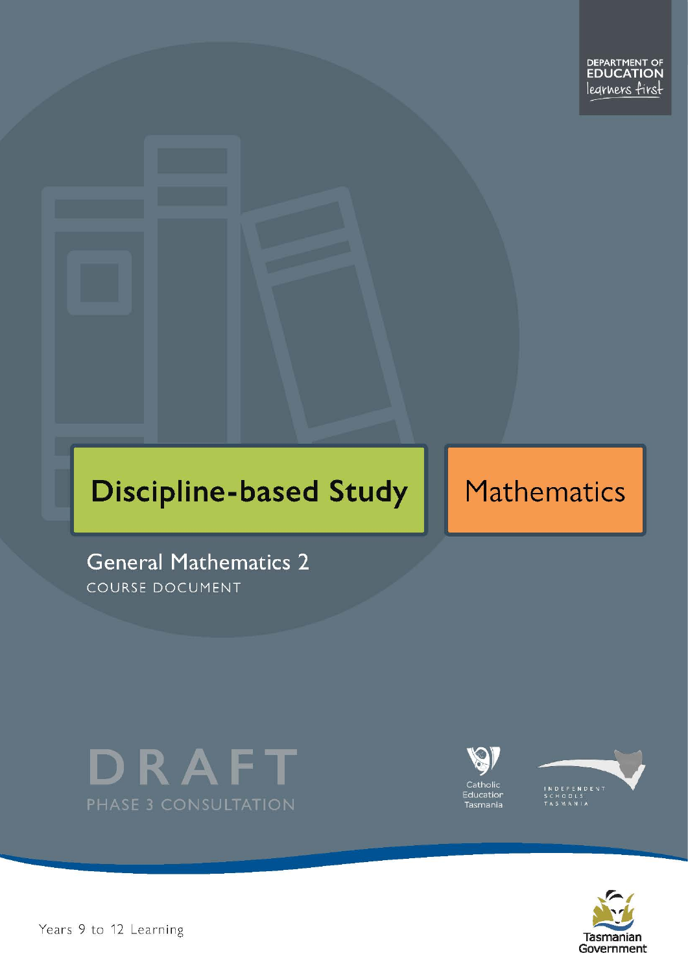# **Discipline-based Study**

# Mathematics

**General Mathematics 2** COURSE DOCUMENT









Pears 9 to 12 Learning – George 2 Page 1 of 28 Page 1 of 28 Page 1 of 28 Page 1 of 28 Page 1 of 28 Page 1 of 28 Page 1 of 28 Page 1 of 28 Page 1 of 28 Page 1 of 28 Page 1 of 28 Page 1 of 28 Page 1 of 28 Page 1 of 28 Page 1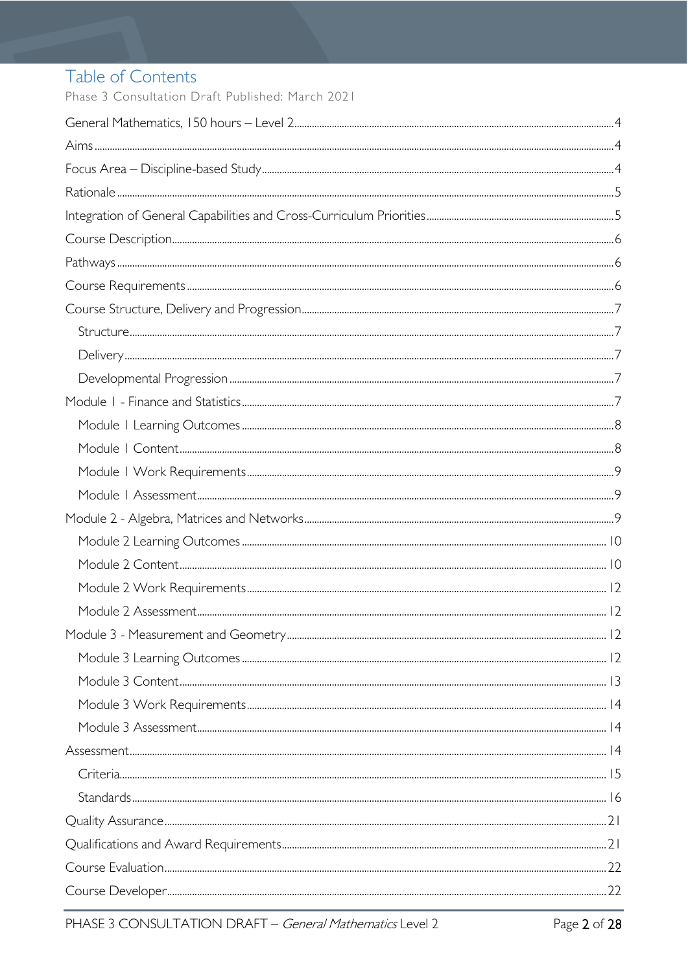# Table of Contents

Phase 3 Consultation Draft Published: March 2021

| $Stand arcs. 16$ |  |
|------------------|--|
|                  |  |
|                  |  |
|                  |  |
|                  |  |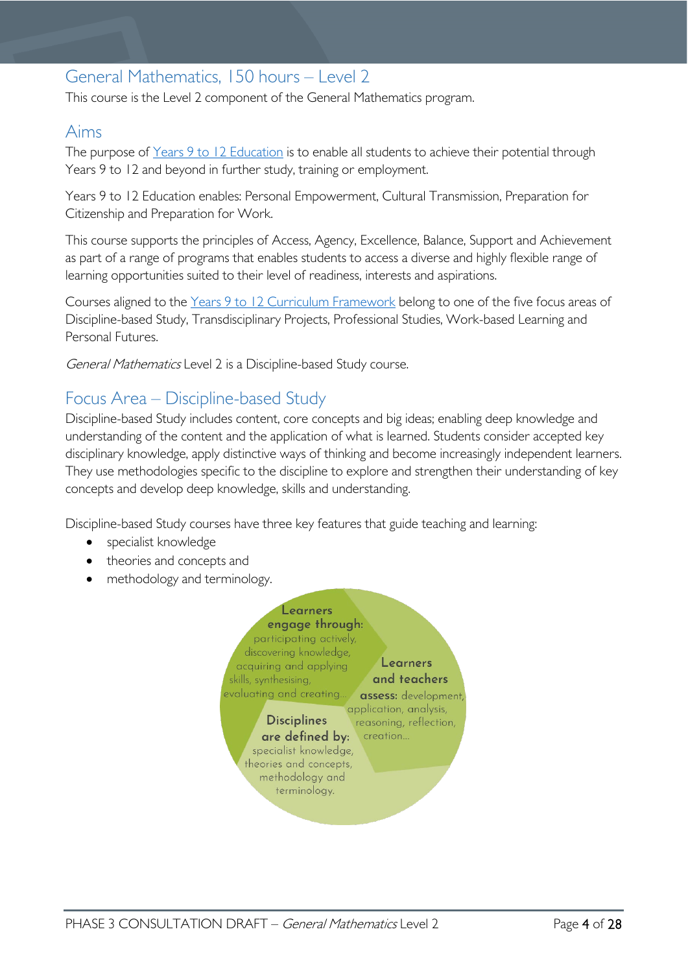# <span id="page-3-0"></span>General Mathematics, 150 hours – Level 2

This course is the Level 2 component of the General Mathematics program.

### <span id="page-3-1"></span>Aims

The purpose of Years 9 to 12 [Education](https://publicdocumentcentre.education.tas.gov.au/library/Shared%20Documents/Years-9-to-12-Education-Framework.pdf) is to enable all students to achieve their potential through Years 9 to 12 and beyond in further study, training or employment.

Years 9 to 12 Education enables: Personal Empowerment, Cultural Transmission, Preparation for Citizenship and Preparation for Work.

This course supports the principles of Access, Agency, Excellence, Balance, Support and Achievement as part of a range of programs that enables students to access a diverse and highly flexible range of learning opportunities suited to their level of readiness, interests and aspirations.

Courses aligned to the Years 9 to 12 Curriculum [Framework](https://publicdocumentcentre.education.tas.gov.au/library/Shared%20Documents/Education%209-12%20Frameworks%20A3%20WEB%20POSTER.pdf) belong to one of the five focus areas of Discipline-based Study, Transdisciplinary Projects, Professional Studies, Work-based Learning and Personal Futures.

General Mathematics Level 2 is a Discipline-based Study course.

# <span id="page-3-2"></span>Focus Area – Discipline-based Study

Discipline-based Study includes content, core concepts and big ideas; enabling deep knowledge and understanding of the content and the application of what is learned. Students consider accepted key disciplinary knowledge, apply distinctive ways of thinking and become increasingly independent learners. They use methodologies specific to the discipline to explore and strengthen their understanding of key concepts and develop deep knowledge, skills and understanding.

Discipline-based Study courses have three key features that guide teaching and learning:

- specialist knowledge
- theories and concepts and
- methodology and terminology.

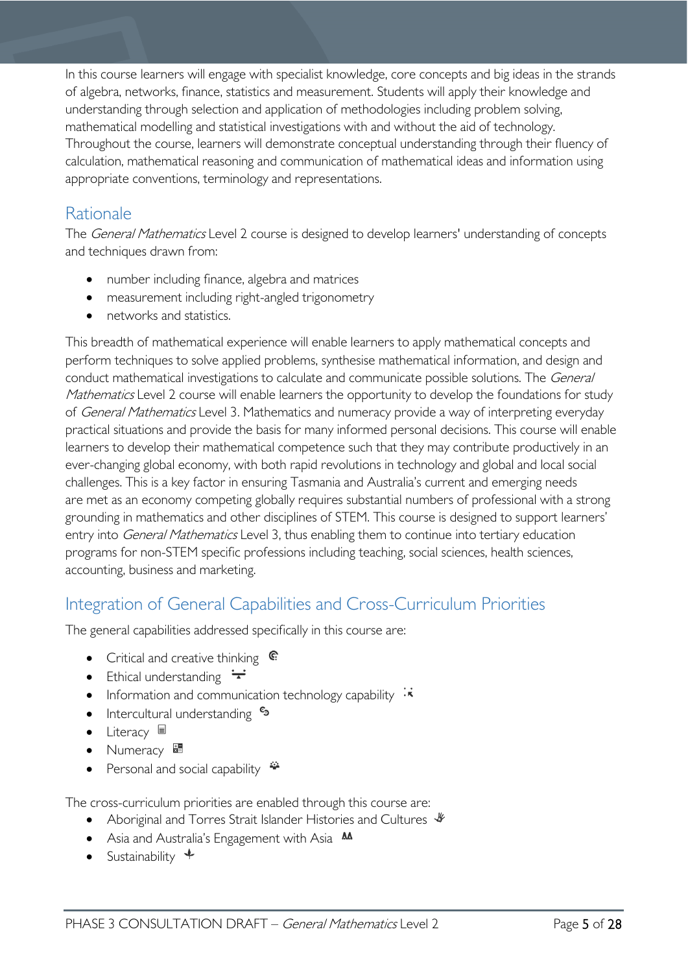In this course learners will engage with specialist knowledge, core concepts and big ideas in the strands of algebra, networks, finance, statistics and measurement. Students will apply their knowledge and understanding through selection and application of methodologies including problem solving, mathematical modelling and statistical investigations with and without the aid of technology. Throughout the course, learners will demonstrate conceptual understanding through their fluency of calculation, mathematical reasoning and communication of mathematical ideas and information using appropriate conventions, terminology and representations.

# <span id="page-4-0"></span>Rationale

The *General Mathematics* Level 2 course is designed to develop learners' understanding of concepts and techniques drawn from:

- number including finance, algebra and matrices
- measurement including right-angled trigonometry
- networks and statistics.

This breadth of mathematical experience will enable learners to apply mathematical concepts and perform techniques to solve applied problems, synthesise mathematical information, and design and conduct mathematical investigations to calculate and communicate possible solutions. The General Mathematics Level 2 course will enable learners the opportunity to develop the foundations for study of General Mathematics Level 3. Mathematics and numeracy provide a way of interpreting everyday practical situations and provide the basis for many informed personal decisions. This course will enable learners to develop their mathematical competence such that they may contribute productively in an ever-changing global economy, with both rapid revolutions in technology and global and local social challenges. This is a key factor in ensuring Tasmania and Australia's current and emerging needs are met as an economy competing globally requires substantial numbers of professional with a strong grounding in mathematics and other disciplines of STEM. This course is designed to support learners' entry into *General Mathematics* Level 3, thus enabling them to continue into tertiary education programs for non-STEM specific professions including teaching, social sciences, health sciences, accounting, business and marketing.

# <span id="page-4-1"></span>Integration of General Capabilities and Cross-Curriculum Priorities

The general capabilities addressed specifically in this course are:

- Critical and creative thinking  $\mathbb{C}$
- Ethical understanding  $\div$
- Information and communication technology capability  $\cdot$
- Intercultural understanding •
- Literacy
- Numeracy
- Personal and social capability

The cross-curriculum priorities are enabled through this course are:

- Aboriginal and Torres Strait Islander Histories and Cultures  $\mathcal V$
- Asia and Australia's Engagement with Asia **AA**
- Sustainability  $\triangleleft$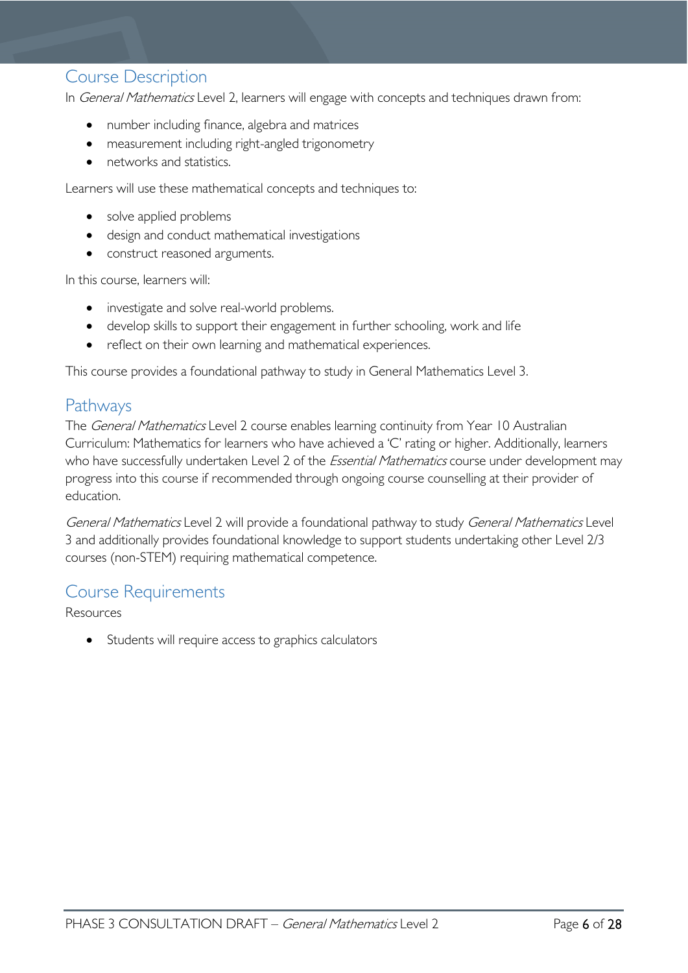### <span id="page-5-0"></span>Course Description

In *General Mathematics* Level 2, learners will engage with concepts and techniques drawn from:

- number including finance, algebra and matrices
- measurement including right-angled trigonometry
- networks and statistics.

Learners will use these mathematical concepts and techniques to:

- solve applied problems
- design and conduct mathematical investigations
- construct reasoned arguments.

In this course, learners will:

- investigate and solve real-world problems.
- develop skills to support their engagement in further schooling, work and life
- reflect on their own learning and mathematical experiences.

This course provides a foundational pathway to study in General Mathematics Level 3.

### <span id="page-5-1"></span>Pathways

The *General Mathematics* Level 2 course enables learning continuity from Year 10 Australian Curriculum: Mathematics for learners who have achieved a 'C' rating or higher. Additionally, learners who have successfully undertaken Level 2 of the *Essential Mathematics* course under development may progress into this course if recommended through ongoing course counselling at their provider of education.

General Mathematics Level 2 will provide a foundational pathway to study General Mathematics Level 3 and additionally provides foundational knowledge to support students undertaking other Level 2/3 courses (non-STEM) requiring mathematical competence.

## <span id="page-5-2"></span>Course Requirements

Resources

• Students will require access to graphics calculators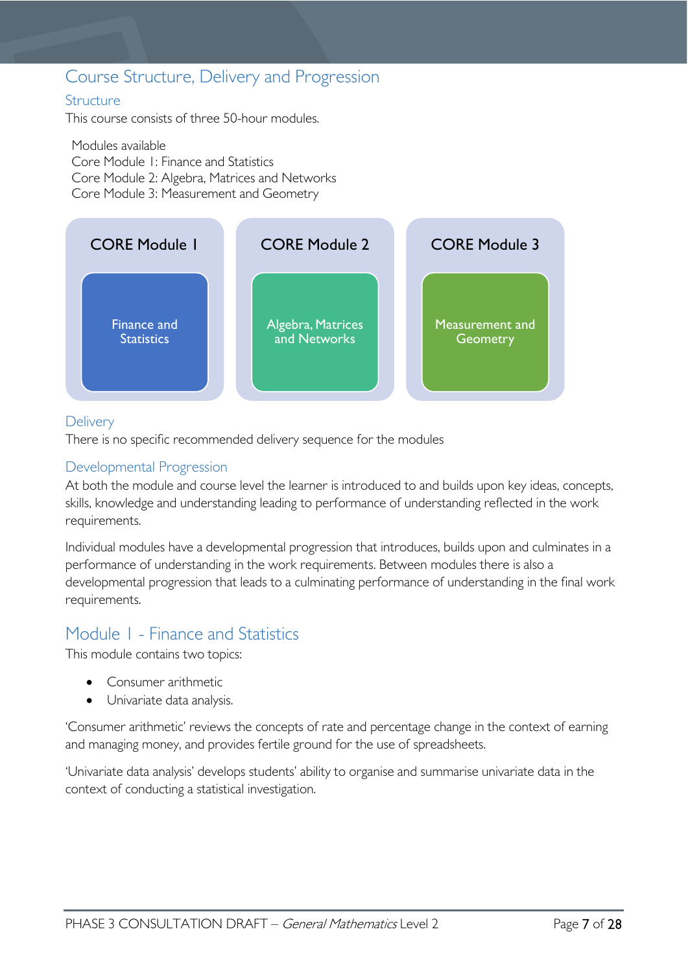## <span id="page-6-0"></span>Course Structure, Delivery and Progression

#### <span id="page-6-1"></span>**Structure**

This course consists of three 50-hour modules.

Modules available Core Module 1: Finance and Statistics Core Module 2: Algebra, Matrices and Networks Core Module 3: Measurement and Geometry



#### <span id="page-6-2"></span>**Delivery**

There is no specific recommended delivery sequence for the modules

#### <span id="page-6-3"></span>Developmental Progression

At both the module and course level the learner is introduced to and builds upon key ideas, concepts, skills, knowledge and understanding leading to performance of understanding reflected in the work requirements.

Individual modules have a developmental progression that introduces, builds upon and culminates in a performance of understanding in the work requirements. Between modules there is also a developmental progression that leads to a culminating performance of understanding in the final work requirements.

## <span id="page-6-4"></span>Module 1 - Finance and Statistics

This module contains two topics:

- Consumer arithmetic
- Univariate data analysis.

'Consumer arithmetic' reviews the concepts of rate and percentage change in the context of earning and managing money, and provides fertile ground for the use of spreadsheets.

'Univariate data analysis' develops students' ability to organise and summarise univariate data in the context of conducting a statistical investigation.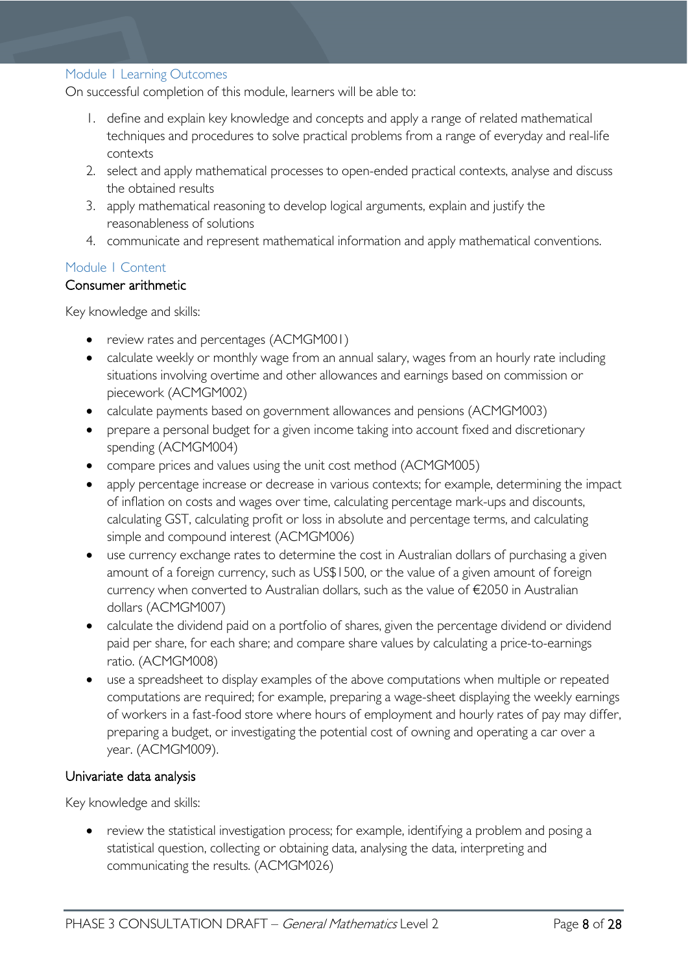#### <span id="page-7-0"></span>Module 1 Learning Outcomes

On successful completion of this module, learners will be able to:

- 1. define and explain key knowledge and concepts and apply a range of related mathematical techniques and procedures to solve practical problems from a range of everyday and real-life contexts
- 2. select and apply mathematical processes to open-ended practical contexts, analyse and discuss the obtained results
- 3. apply mathematical reasoning to develop logical arguments, explain and justify the reasonableness of solutions
- 4. communicate and represent mathematical information and apply mathematical conventions.

#### <span id="page-7-1"></span>Module 1 Content

#### Consumer arithmetic

Key knowledge and skills:

- review rates and percentages (ACMGM001)
- calculate weekly or monthly wage from an annual salary, wages from an hourly rate including situations involving overtime and other allowances and earnings based on commission or piecework (ACMGM002)
- calculate payments based on government allowances and pensions (ACMGM003)
- prepare a personal budget for a given income taking into account fixed and discretionary spending (ACMGM004)
- compare prices and values using the unit cost method (ACMGM005)
- apply percentage increase or decrease in various contexts; for example, determining the impact of inflation on costs and wages over time, calculating percentage mark-ups and discounts, calculating GST, calculating profit or loss in absolute and percentage terms, and calculating simple and compound interest (ACMGM006)
- use currency exchange rates to determine the cost in Australian dollars of purchasing a given amount of a foreign currency, such as US\$1500, or the value of a given amount of foreign currency when converted to Australian dollars, such as the value of €2050 in Australian dollars (ACMGM007)
- calculate the dividend paid on a portfolio of shares, given the percentage dividend or dividend paid per share, for each share; and compare share values by calculating a price-to-earnings ratio. (ACMGM008)
- use a spreadsheet to display examples of the above computations when multiple or repeated computations are required; for example, preparing a wage-sheet displaying the weekly earnings of workers in a fast-food store where hours of employment and hourly rates of pay may differ, preparing a budget, or investigating the potential cost of owning and operating a car over a year. (ACMGM009).

#### Univariate data analysis

Key knowledge and skills:

• review the statistical investigation process; for example, identifying a problem and posing a statistical question, collecting or obtaining data, analysing the data, interpreting and communicating the results. (ACMGM026)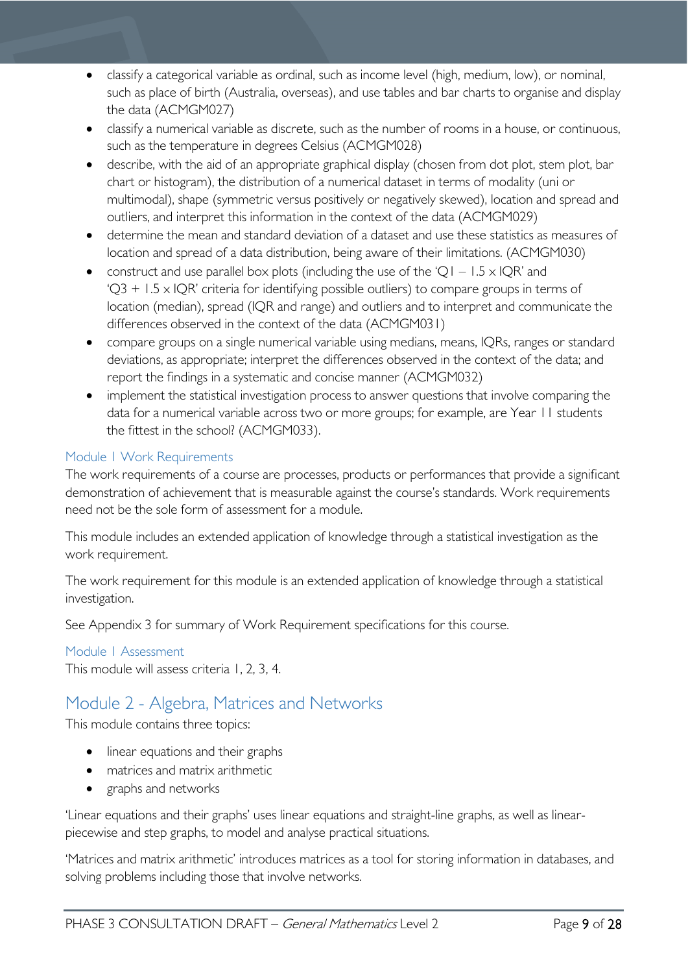- classify a categorical variable as ordinal, such as income level (high, medium, low), or nominal, such as place of birth (Australia, overseas), and use tables and bar charts to organise and display the data (ACMGM027)
- classify a numerical variable as discrete, such as the number of rooms in a house, or continuous, such as the temperature in degrees Celsius (ACMGM028)
- describe, with the aid of an appropriate graphical display (chosen from dot plot, stem plot, bar chart or histogram), the distribution of a numerical dataset in terms of modality (uni or multimodal), shape (symmetric versus positively or negatively skewed), location and spread and outliers, and interpret this information in the context of the data (ACMGM029)
- determine the mean and standard deviation of a dataset and use these statistics as measures of location and spread of a data distribution, being aware of their limitations. (ACMGM030)
- construct and use parallel box plots (including the use of the 'Q1 1.5  $\times$  IQR' and  $Q3 + 1.5 \times QR$ ' criteria for identifying possible outliers) to compare groups in terms of location (median), spread (IQR and range) and outliers and to interpret and communicate the differences observed in the context of the data (ACMGM031)
- compare groups on a single numerical variable using medians, means, IQRs, ranges or standard deviations, as appropriate; interpret the differences observed in the context of the data; and report the findings in a systematic and concise manner (ACMGM032)
- implement the statistical investigation process to answer questions that involve comparing the data for a numerical variable across two or more groups; for example, are Year 11 students the fittest in the school? (ACMGM033).

#### <span id="page-8-0"></span>Module 1 Work Requirements

The work requirements of a course are processes, products or performances that provide a significant demonstration of achievement that is measurable against the course's standards. Work requirements need not be the sole form of assessment for a module.

This module includes an extended application of knowledge through a statistical investigation as the work requirement.

The work requirement for this module is an extended application of knowledge through a statistical investigation.

See Appendix 3 for summary of Work Requirement specifications for this course.

#### <span id="page-8-1"></span>Module 1 Assessment

This module will assess criteria 1, 2, 3, 4.

## <span id="page-8-2"></span>Module 2 - Algebra, Matrices and Networks

This module contains three topics:

- linear equations and their graphs
- matrices and matrix arithmetic
- graphs and networks

'Linear equations and their graphs' uses linear equations and straight-line graphs, as well as linearpiecewise and step graphs, to model and analyse practical situations.

'Matrices and matrix arithmetic' introduces matrices as a tool for storing information in databases, and solving problems including those that involve networks.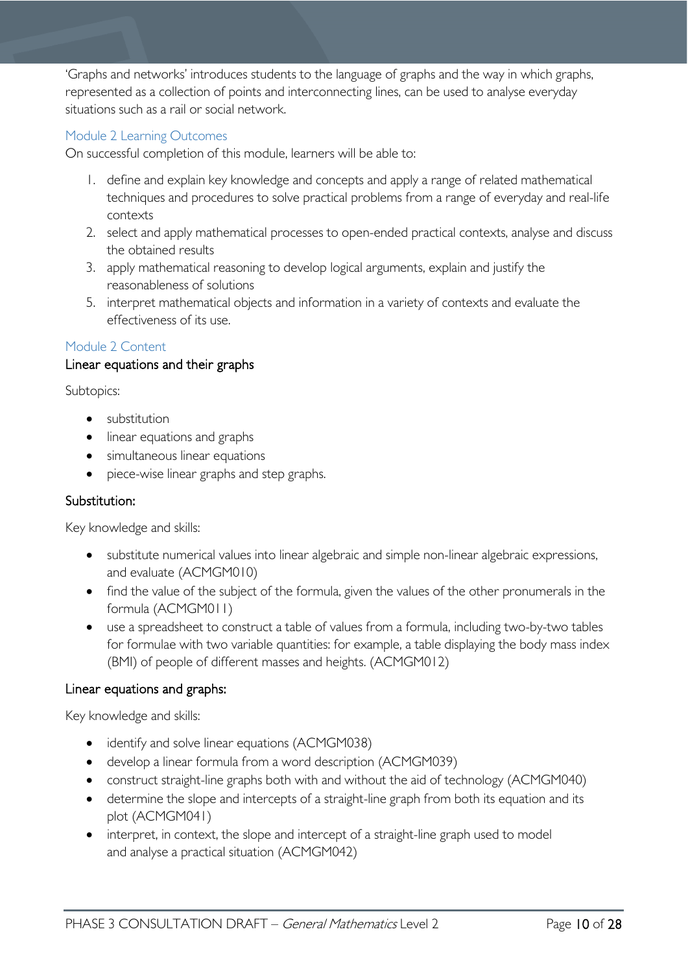'Graphs and networks' introduces students to the language of graphs and the way in which graphs, represented as a collection of points and interconnecting lines, can be used to analyse everyday situations such as a rail or social network.

#### <span id="page-9-0"></span>Module 2 Learning Outcomes

On successful completion of this module, learners will be able to:

- 1. define and explain key knowledge and concepts and apply a range of related mathematical techniques and procedures to solve practical problems from a range of everyday and real-life contexts
- 2. select and apply mathematical processes to open-ended practical contexts, analyse and discuss the obtained results
- 3. apply mathematical reasoning to develop logical arguments, explain and justify the reasonableness of solutions
- 5. interpret mathematical objects and information in a variety of contexts and evaluate the effectiveness of its use.

#### <span id="page-9-1"></span>Module 2 Content

#### Linear equations and their graphs

Subtopics:

- substitution
- linear equations and graphs
- simultaneous linear equations
- piece-wise linear graphs and step graphs.

#### Substitution:

Key knowledge and skills:

- substitute numerical values into linear algebraic and simple non-linear algebraic expressions, and evaluate (ACMGM010)
- find the value of the subject of the formula, given the values of the other pronumerals in the formula (ACMGM011)
- use a spreadsheet to construct a table of values from a formula, including two-by-two tables for formulae with two variable quantities: for example, a table displaying the body mass index (BMI) of people of different masses and heights. (ACMGM012)

#### Linear equations and graphs:

Key knowledge and skills:

- identify and solve linear equations (ACMGM038)
- develop a linear formula from a word description (ACMGM039)
- construct straight-line graphs both with and without the aid of technology (ACMGM040)
- determine the slope and intercepts of a straight-line graph from both its equation and its plot (ACMGM041)
- interpret, in context, the slope and intercept of a straight-line graph used to model and analyse a practical situation (ACMGM042)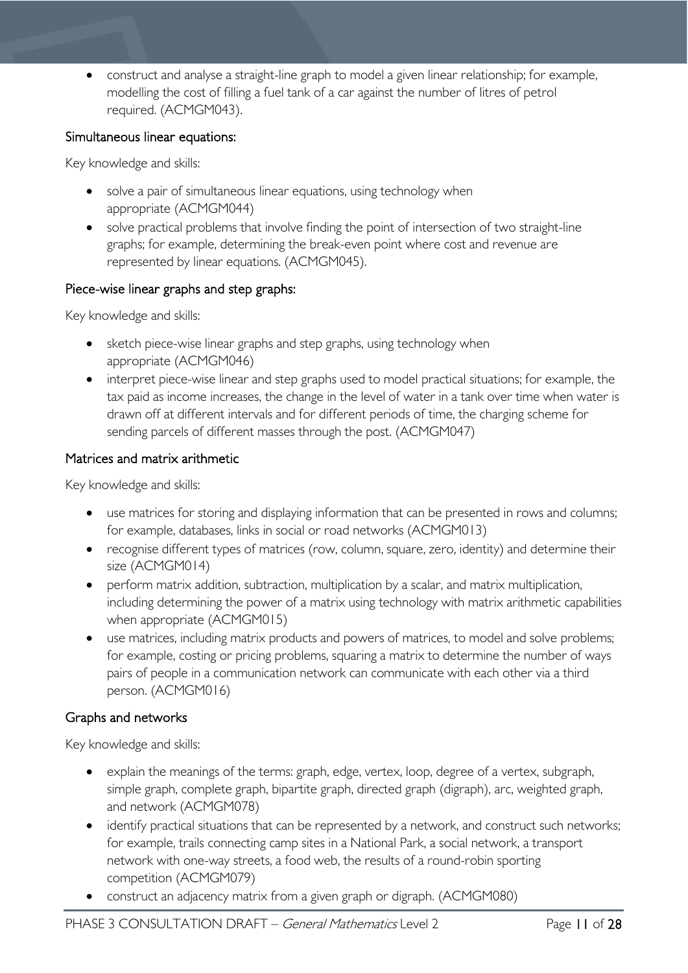• construct and analyse a straight-line graph to model a given linear relationship; for example, modelling the cost of filling a fuel tank of a car against the number of litres of petrol required. (ACMGM043).

#### Simultaneous linear equations:

Key knowledge and skills:

- solve a pair of simultaneous linear equations, using technology when appropriate (ACMGM044)
- solve practical problems that involve finding the point of intersection of two straight-line graphs; for example, determining the break-even point where cost and revenue are represented by linear equations. (ACMGM045).

#### Piece-wise linear graphs and step graphs:

Key knowledge and skills:

- sketch piece-wise linear graphs and step graphs, using technology when appropriate (ACMGM046)
- interpret piece-wise linear and step graphs used to model practical situations; for example, the tax paid as income increases, the change in the level of water in a tank over time when water is drawn off at different intervals and for different periods of time, the charging scheme for sending parcels of different masses through the post. (ACMGM047)

#### Matrices and matrix arithmetic

Key knowledge and skills:

- use matrices for storing and displaying information that can be presented in rows and columns; for example, databases, links in social or road networks (ACMGM013)
- recognise different types of matrices (row, column, square, zero, identity) and determine their size (ACMGM014)
- perform matrix addition, subtraction, multiplication by a scalar, and matrix multiplication, including determining the power of a matrix using technology with matrix arithmetic capabilities when appropriate (ACMGM015)
- use matrices, including matrix products and powers of matrices, to model and solve problems; for example, costing or pricing problems, squaring a matrix to determine the number of ways pairs of people in a communication network can communicate with each other via a third person. (ACMGM016)

#### Graphs and networks

Key knowledge and skills:

- explain the meanings of the terms: graph, edge, vertex, loop, degree of a vertex, subgraph, simple graph, complete graph, bipartite graph, directed graph (digraph), arc, weighted graph, and network (ACMGM078)
- identify practical situations that can be represented by a network, and construct such networks; for example, trails connecting camp sites in a National Park, a social network, a transport network with one-way streets, a food web, the results of a round-robin sporting competition (ACMGM079)
- construct an adjacency matrix from a given graph or digraph. (ACMGM080)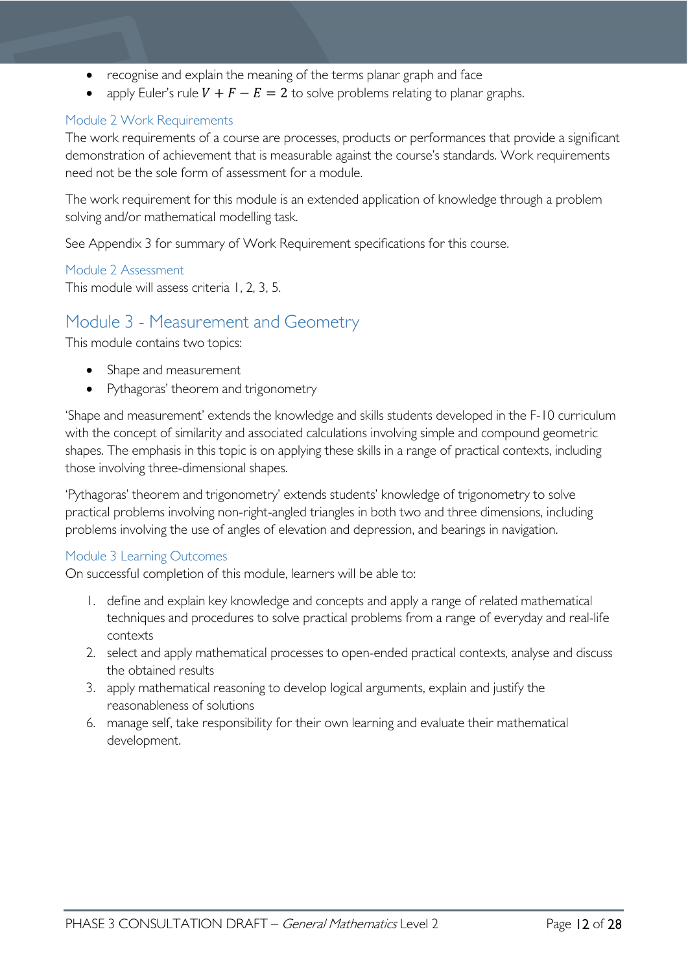- recognise and explain the meaning of the terms planar graph and face
- apply Euler's rule  $V + F E = 2$  to solve problems relating to planar graphs.

#### <span id="page-11-0"></span>Module 2 Work Requirements

The work requirements of a course are processes, products or performances that provide a significant demonstration of achievement that is measurable against the course's standards. Work requirements need not be the sole form of assessment for a module.

The work requirement for this module is an extended application of knowledge through a problem solving and/or mathematical modelling task.

See Appendix 3 for summary of Work Requirement specifications for this course.

#### <span id="page-11-1"></span>Module 2 Assessment

This module will assess criteria 1, 2, 3, 5.

### <span id="page-11-2"></span>Module 3 - Measurement and Geometry

This module contains two topics:

- Shape and measurement
- Pythagoras' theorem and trigonometry

'Shape and measurement' extends the knowledge and skills students developed in the F-10 curriculum with the concept of similarity and associated calculations involving simple and compound geometric shapes. The emphasis in this topic is on applying these skills in a range of practical contexts, including those involving three-dimensional shapes.

'Pythagoras' theorem and trigonometry' extends students' knowledge of trigonometry to solve practical problems involving non-right-angled triangles in both two and three dimensions, including problems involving the use of angles of elevation and depression, and bearings in navigation.

#### <span id="page-11-3"></span>Module 3 Learning Outcomes

On successful completion of this module, learners will be able to:

- 1. define and explain key knowledge and concepts and apply a range of related mathematical techniques and procedures to solve practical problems from a range of everyday and real-life contexts
- 2. select and apply mathematical processes to open-ended practical contexts, analyse and discuss the obtained results
- 3. apply mathematical reasoning to develop logical arguments, explain and justify the reasonableness of solutions
- 6. manage self, take responsibility for their own learning and evaluate their mathematical development.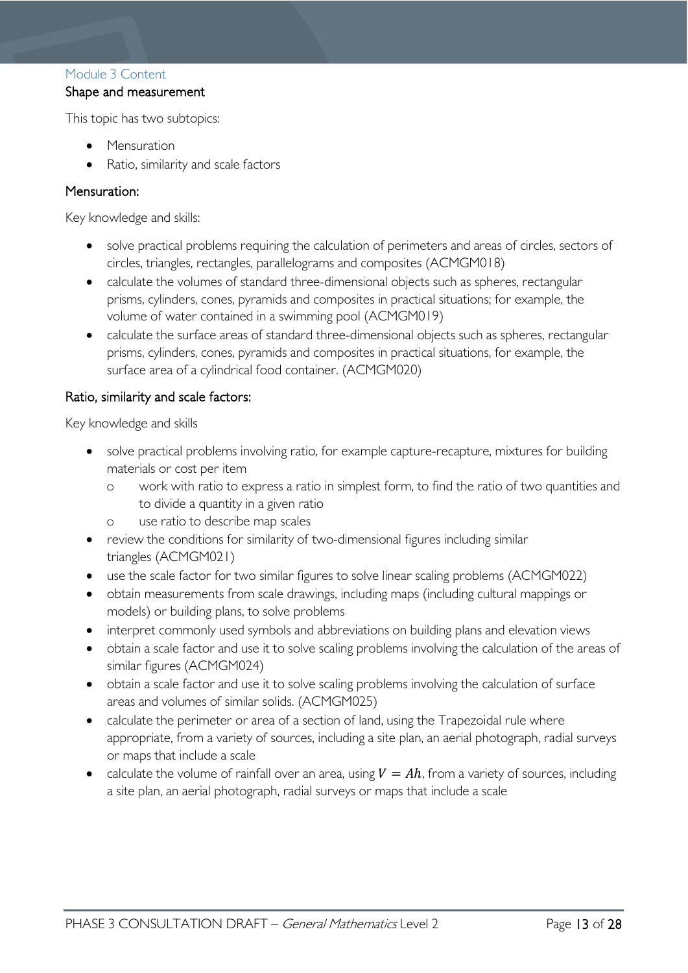#### <span id="page-12-0"></span>Module 3 Content

#### Shape and measurement

This topic has two subtopics:

- Mensuration
- Ratio, similarity and scale factors

#### Mensuration:

Key knowledge and skills:

- solve practical problems requiring the calculation of perimeters and areas of circles, sectors of circles, triangles, rectangles, parallelograms and composites (ACMGM018)
- calculate the volumes of standard three-dimensional objects such as spheres, rectangular prisms, cylinders, cones, pyramids and composites in practical situations; for example, the volume of water contained in a swimming pool (ACMGM019)
- calculate the surface areas of standard three-dimensional objects such as spheres, rectangular prisms, cylinders, cones, pyramids and composites in practical situations, for example, the surface area of a cylindrical food container. (ACMGM020)

#### Ratio, similarity and scale factors:

Key knowledge and skills

- solve practical problems involving ratio, for example capture-recapture, mixtures for building materials or cost per item
	- o work with ratio to express a ratio in simplest form, to find the ratio of two quantities and to divide a quantity in a given ratio
	- o use ratio to describe map scales
- review the conditions for similarity of two-dimensional figures including similar triangles (ACMGM021)
- use the scale factor for two similar figures to solve linear scaling problems (ACMGM022)
- obtain measurements from scale drawings, including maps (including cultural mappings or models) or building plans, to solve problems
- interpret commonly used symbols and abbreviations on building plans and elevation views
- obtain a scale factor and use it to solve scaling problems involving the calculation of the areas of similar figures (ACMGM024)
- obtain a scale factor and use it to solve scaling problems involving the calculation of surface areas and volumes of similar solids. (ACMGM025)
- calculate the perimeter or area of a section of land, using the Trapezoidal rule where appropriate, from a variety of sources, including a site plan, an aerial photograph, radial surveys or maps that include a scale
- calculate the volume of rainfall over an area, using  $V = Ah$ , from a variety of sources, including a site plan, an aerial photograph, radial surveys or maps that include a scale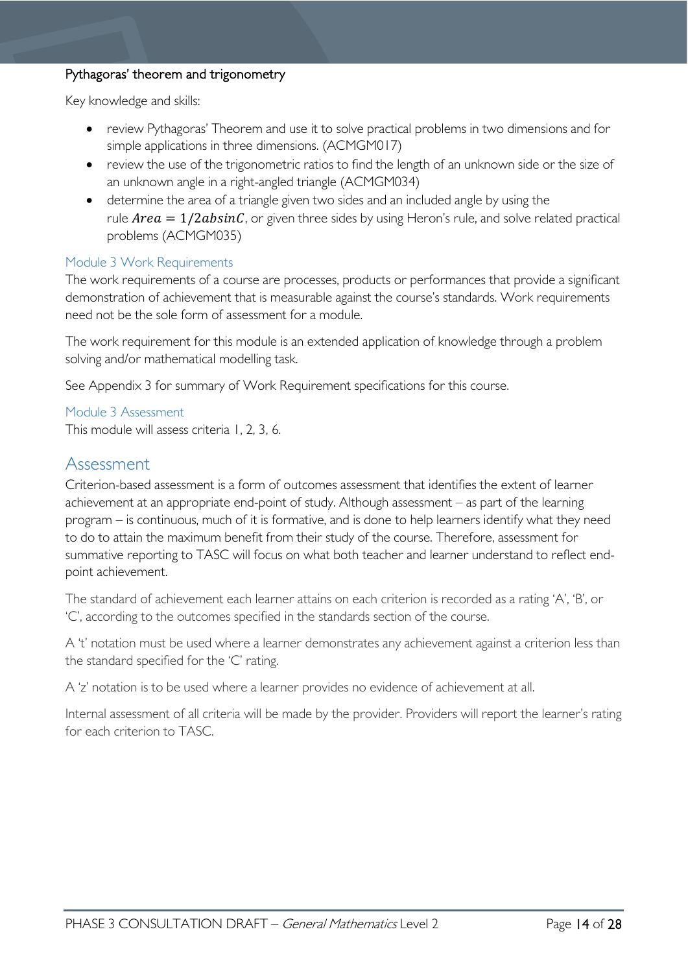#### Pythagoras' theorem and trigonometry

Key knowledge and skills:

- review Pythagoras' Theorem and use it to solve practical problems in two dimensions and for simple applications in three dimensions. (ACMGM017)
- review the use of the trigonometric ratios to find the length of an unknown side or the size of an unknown angle in a right-angled triangle (ACMGM034)
- determine the area of a triangle given two sides and an included angle by using the rule  $Area = 1/2absinC$ , or given three sides by using Heron's rule, and solve related practical problems (ACMGM035)

#### <span id="page-13-0"></span>Module 3 Work Requirements

The work requirements of a course are processes, products or performances that provide a significant demonstration of achievement that is measurable against the course's standards. Work requirements need not be the sole form of assessment for a module.

The work requirement for this module is an extended application of knowledge through a problem solving and/or mathematical modelling task.

See Appendix 3 for summary of Work Requirement specifications for this course.

#### <span id="page-13-1"></span>Module 3 Assessment

This module will assess criteria 1, 2, 3, 6.

#### <span id="page-13-2"></span>Assessment

Criterion-based assessment is a form of outcomes assessment that identifies the extent of learner achievement at an appropriate end-point of study. Although assessment – as part of the learning program – is continuous, much of it is formative, and is done to help learners identify what they need to do to attain the maximum benefit from their study of the course. Therefore, assessment for summative reporting to TASC will focus on what both teacher and learner understand to reflect endpoint achievement.

The standard of achievement each learner attains on each criterion is recorded as a rating 'A', 'B', or 'C', according to the outcomes specified in the standards section of the course.

A 't' notation must be used where a learner demonstrates any achievement against a criterion less than the standard specified for the 'C' rating.

A 'z' notation is to be used where a learner provides no evidence of achievement at all.

Internal assessment of all criteria will be made by the provider. Providers will report the learner's rating for each criterion to TASC.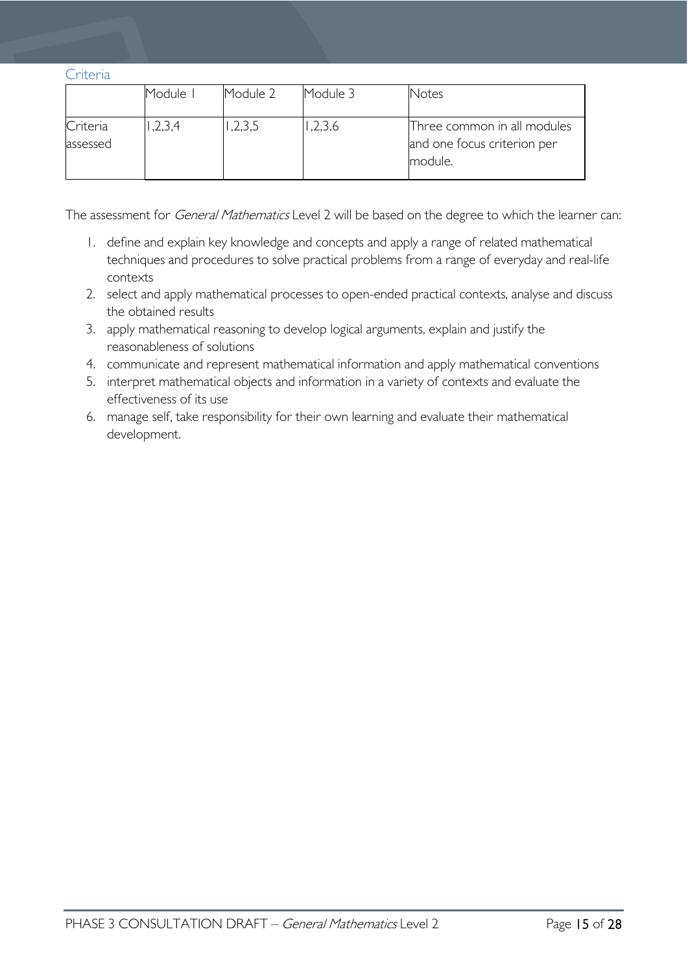<span id="page-14-0"></span>

|  | r |
|--|---|
|  |   |

|                      | Module I | Module 2 | Module 3 | Notes                                                                 |
|----------------------|----------|----------|----------|-----------------------------------------------------------------------|
| Criteria<br>assessed | ,2,3,4   | ,2,3,5   | ,2,3,6   | Three common in all modules<br>and one focus criterion per<br>module. |

The assessment for *General Mathematics* Level 2 will be based on the degree to which the learner can:

- 1. define and explain key knowledge and concepts and apply a range of related mathematical techniques and procedures to solve practical problems from a range of everyday and real-life contexts
- 2. select and apply mathematical processes to open-ended practical contexts, analyse and discuss the obtained results
- 3. apply mathematical reasoning to develop logical arguments, explain and justify the reasonableness of solutions
- 4. communicate and represent mathematical information and apply mathematical conventions
- 5. interpret mathematical objects and information in a variety of contexts and evaluate the effectiveness of its use
- 6. manage self, take responsibility for their own learning and evaluate their mathematical development.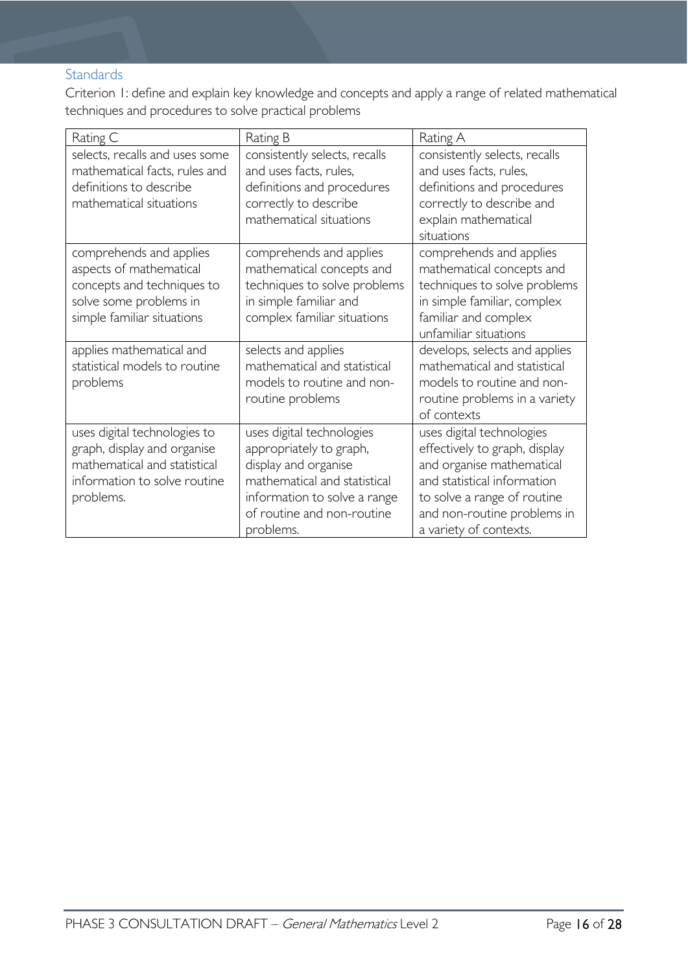### <span id="page-15-0"></span>**Standards**

Criterion 1: define and explain key knowledge and concepts and apply a range of related mathematical techniques and procedures to solve practical problems

| Rating C                                                                                                                                 | Rating B                                                                                                                                                                                | Rating A                                                                                                                                                                                                       |
|------------------------------------------------------------------------------------------------------------------------------------------|-----------------------------------------------------------------------------------------------------------------------------------------------------------------------------------------|----------------------------------------------------------------------------------------------------------------------------------------------------------------------------------------------------------------|
| selects, recalls and uses some<br>mathematical facts, rules and<br>definitions to describe<br>mathematical situations                    | consistently selects, recalls<br>and uses facts, rules,<br>definitions and procedures<br>correctly to describe<br>mathematical situations                                               | consistently selects, recalls<br>and uses facts, rules,<br>definitions and procedures<br>correctly to describe and<br>explain mathematical<br>situations                                                       |
| comprehends and applies<br>aspects of mathematical<br>concepts and techniques to<br>solve some problems in<br>simple familiar situations | comprehends and applies<br>mathematical concepts and<br>techniques to solve problems<br>in simple familiar and<br>complex familiar situations                                           | comprehends and applies<br>mathematical concepts and<br>techniques to solve problems<br>in simple familiar, complex<br>familiar and complex<br>unfamiliar situations                                           |
| applies mathematical and<br>statistical models to routine<br>problems                                                                    | selects and applies<br>mathematical and statistical<br>models to routine and non-<br>routine problems                                                                                   | develops, selects and applies<br>mathematical and statistical<br>models to routine and non-<br>routine problems in a variety<br>of contexts                                                                    |
| uses digital technologies to<br>graph, display and organise<br>mathematical and statistical<br>information to solve routine<br>problems. | uses digital technologies<br>appropriately to graph,<br>display and organise<br>mathematical and statistical<br>information to solve a range<br>of routine and non-routine<br>problems. | uses digital technologies<br>effectively to graph, display<br>and organise mathematical<br>and statistical information<br>to solve a range of routine<br>and non-routine problems in<br>a variety of contexts. |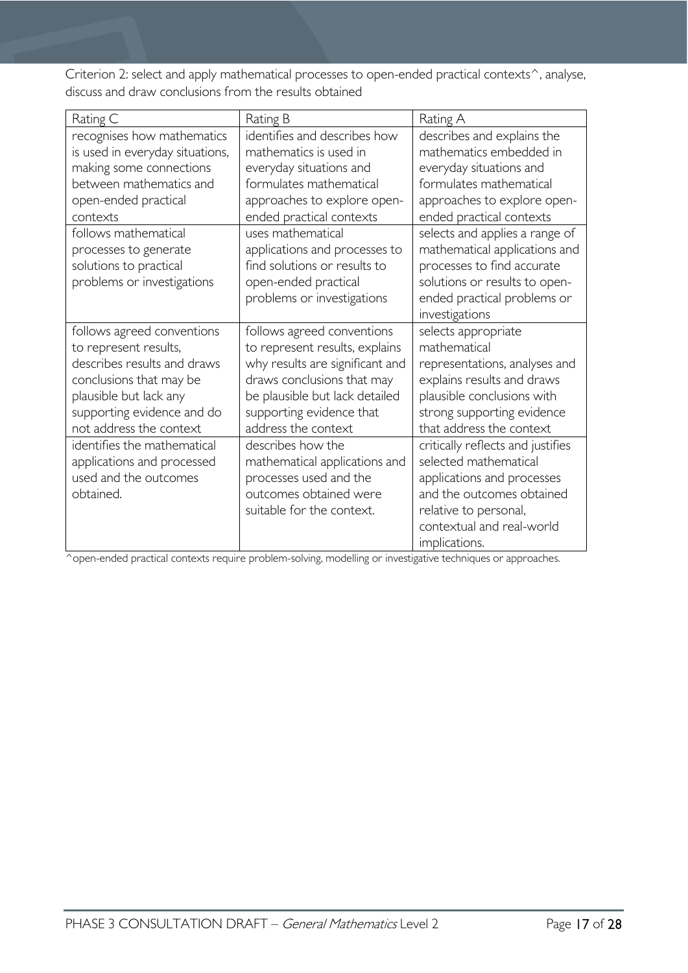Criterion 2: select and apply mathematical processes to open-ended practical contexts<sup>^</sup>, analyse, discuss and draw conclusions from the results obtained

| Rating C                        | Rating B                        | Rating A                          |
|---------------------------------|---------------------------------|-----------------------------------|
| recognises how mathematics      | identifies and describes how    | describes and explains the        |
| is used in everyday situations, | mathematics is used in          | mathematics embedded in           |
| making some connections         | everyday situations and         | everyday situations and           |
| between mathematics and         | formulates mathematical         | formulates mathematical           |
| open-ended practical            | approaches to explore open-     | approaches to explore open-       |
| contexts                        | ended practical contexts        | ended practical contexts          |
| follows mathematical            | uses mathematical               | selects and applies a range of    |
| processes to generate           | applications and processes to   | mathematical applications and     |
| solutions to practical          | find solutions or results to    | processes to find accurate        |
| problems or investigations      | open-ended practical            | solutions or results to open-     |
|                                 | problems or investigations      | ended practical problems or       |
|                                 |                                 | investigations                    |
| follows agreed conventions      | follows agreed conventions      | selects appropriate               |
| to represent results,           | to represent results, explains  | mathematical                      |
| describes results and draws     | why results are significant and | representations, analyses and     |
| conclusions that may be         | draws conclusions that may      | explains results and draws        |
| plausible but lack any          | be plausible but lack detailed  | plausible conclusions with        |
| supporting evidence and do      | supporting evidence that        | strong supporting evidence        |
| not address the context         | address the context             | that address the context          |
| identifies the mathematical     | describes how the               | critically reflects and justifies |
| applications and processed      | mathematical applications and   | selected mathematical             |
| used and the outcomes           | processes used and the          | applications and processes        |
| obtained.                       | outcomes obtained were          | and the outcomes obtained         |
|                                 | suitable for the context.       | relative to personal,             |
|                                 |                                 | contextual and real-world         |
|                                 |                                 | implications.                     |

^open-ended practical contexts require problem-solving, modelling or investigative techniques or approaches.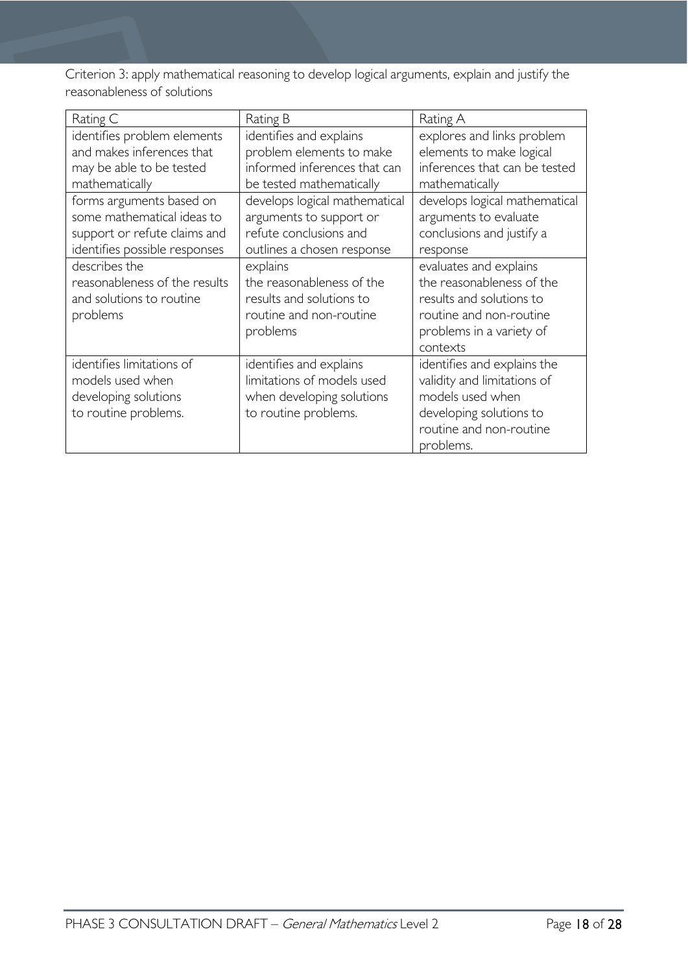Criterion 3: apply mathematical reasoning to develop logical arguments, explain and justify the reasonableness of solutions

| Rating C                                                                                                                | Rating B                                                                                                         | Rating A                                                                                                                                           |
|-------------------------------------------------------------------------------------------------------------------------|------------------------------------------------------------------------------------------------------------------|----------------------------------------------------------------------------------------------------------------------------------------------------|
| identifies problem elements<br>and makes inferences that<br>may be able to be tested<br>mathematically                  | identifies and explains<br>problem elements to make<br>informed inferences that can<br>be tested mathematically  | explores and links problem<br>elements to make logical<br>inferences that can be tested<br>mathematically                                          |
| forms arguments based on<br>some mathematical ideas to<br>support or refute claims and<br>identifies possible responses | develops logical mathematical<br>arguments to support or<br>refute conclusions and<br>outlines a chosen response | develops logical mathematical<br>arguments to evaluate<br>conclusions and justify a<br>response                                                    |
| describes the<br>reasonableness of the results<br>and solutions to routine<br>problems                                  | explains<br>the reasonableness of the<br>results and solutions to<br>routine and non-routine<br>problems         | evaluates and explains<br>the reasonableness of the<br>results and solutions to<br>routine and non-routine<br>problems in a variety of<br>contexts |
| identifies limitations of<br>models used when<br>developing solutions<br>to routine problems.                           | identifies and explains<br>limitations of models used<br>when developing solutions<br>to routine problems.       | identifies and explains the<br>validity and limitations of<br>models used when<br>developing solutions to<br>routine and non-routine<br>problems.  |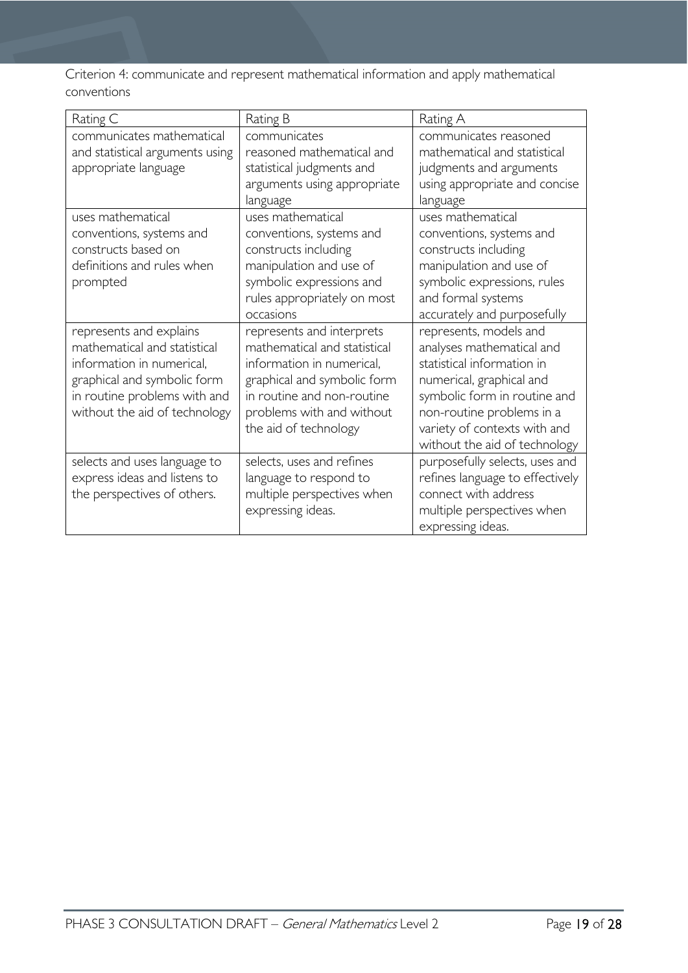Criterion 4: communicate and represent mathematical information and apply mathematical conventions

| Rating C                                                                                                                                                                             | Rating B                                                                                                                                                                                                  | Rating A                                                                                                                                                                                                                                    |
|--------------------------------------------------------------------------------------------------------------------------------------------------------------------------------------|-----------------------------------------------------------------------------------------------------------------------------------------------------------------------------------------------------------|---------------------------------------------------------------------------------------------------------------------------------------------------------------------------------------------------------------------------------------------|
| communicates mathematical<br>and statistical arguments using<br>appropriate language                                                                                                 | communicates<br>reasoned mathematical and<br>statistical judgments and<br>arguments using appropriate<br>language                                                                                         | communicates reasoned<br>mathematical and statistical<br>judgments and arguments<br>using appropriate and concise<br>language                                                                                                               |
| uses mathematical<br>conventions, systems and<br>constructs based on<br>definitions and rules when<br>prompted                                                                       | uses mathematical<br>conventions, systems and<br>constructs including<br>manipulation and use of<br>symbolic expressions and<br>rules appropriately on most<br>occasions                                  | uses mathematical<br>conventions, systems and<br>constructs including<br>manipulation and use of<br>symbolic expressions, rules<br>and formal systems<br>accurately and purposefully                                                        |
| represents and explains<br>mathematical and statistical<br>information in numerical,<br>graphical and symbolic form<br>in routine problems with and<br>without the aid of technology | represents and interprets<br>mathematical and statistical<br>information in numerical,<br>graphical and symbolic form<br>in routine and non-routine<br>problems with and without<br>the aid of technology | represents, models and<br>analyses mathematical and<br>statistical information in<br>numerical, graphical and<br>symbolic form in routine and<br>non-routine problems in a<br>variety of contexts with and<br>without the aid of technology |
| selects and uses language to<br>express ideas and listens to<br>the perspectives of others.                                                                                          | selects, uses and refines<br>language to respond to<br>multiple perspectives when<br>expressing ideas.                                                                                                    | purposefully selects, uses and<br>refines language to effectively<br>connect with address<br>multiple perspectives when<br>expressing ideas.                                                                                                |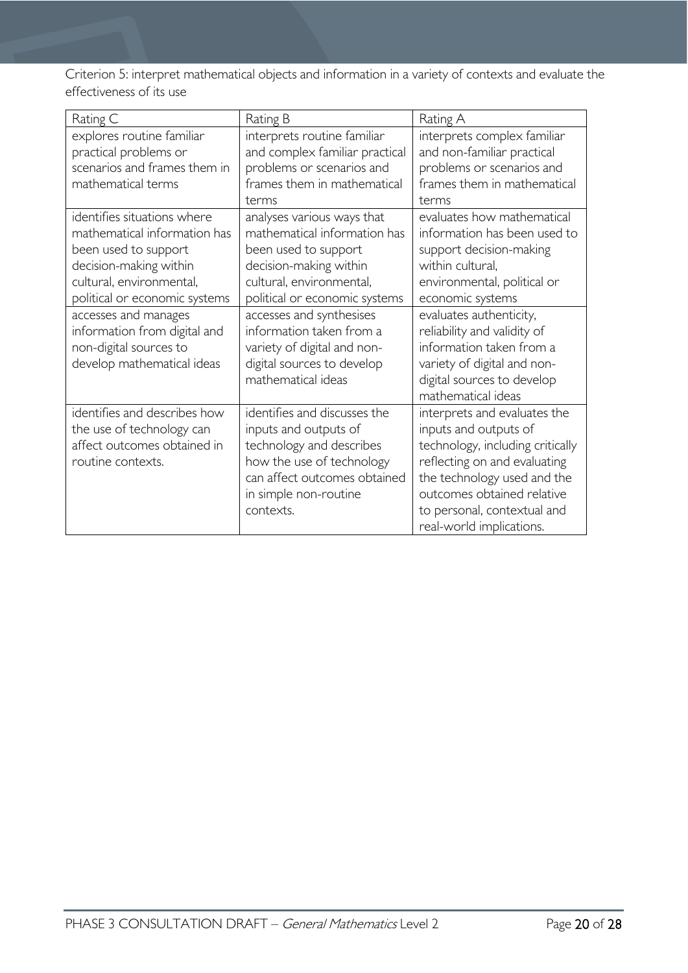Criterion 5: interpret mathematical objects and information in a variety of contexts and evaluate the effectiveness of its use

| Rating C                                                                                                                                                                                                                                                                                   | Rating B                                                                                                                                                                                                                                                                                                             | Rating A                                                                                                                                                                                                                                                                                                                              |
|--------------------------------------------------------------------------------------------------------------------------------------------------------------------------------------------------------------------------------------------------------------------------------------------|----------------------------------------------------------------------------------------------------------------------------------------------------------------------------------------------------------------------------------------------------------------------------------------------------------------------|---------------------------------------------------------------------------------------------------------------------------------------------------------------------------------------------------------------------------------------------------------------------------------------------------------------------------------------|
| explores routine familiar<br>practical problems or<br>scenarios and frames them in<br>mathematical terms                                                                                                                                                                                   | interprets routine familiar<br>and complex familiar practical<br>problems or scenarios and<br>frames them in mathematical<br>terms                                                                                                                                                                                   | interprets complex familiar<br>and non-familiar practical<br>problems or scenarios and<br>frames them in mathematical<br>terms                                                                                                                                                                                                        |
| identifies situations where<br>mathematical information has<br>been used to support<br>decision-making within<br>cultural, environmental,<br>political or economic systems<br>accesses and manages<br>information from digital and<br>non-digital sources to<br>develop mathematical ideas | analyses various ways that<br>mathematical information has<br>been used to support<br>decision-making within<br>cultural, environmental,<br>political or economic systems<br>accesses and synthesises<br>information taken from a<br>variety of digital and non-<br>digital sources to develop<br>mathematical ideas | evaluates how mathematical<br>information has been used to<br>support decision-making<br>within cultural,<br>environmental, political or<br>economic systems<br>evaluates authenticity,<br>reliability and validity of<br>information taken from a<br>variety of digital and non-<br>digital sources to develop<br>mathematical ideas |
| identifies and describes how<br>the use of technology can<br>affect outcomes obtained in<br>routine contexts.                                                                                                                                                                              | identifies and discusses the<br>inputs and outputs of<br>technology and describes<br>how the use of technology<br>can affect outcomes obtained<br>in simple non-routine<br>contexts.                                                                                                                                 | interprets and evaluates the<br>inputs and outputs of<br>technology, including critically<br>reflecting on and evaluating<br>the technology used and the<br>outcomes obtained relative<br>to personal, contextual and<br>real-world implications.                                                                                     |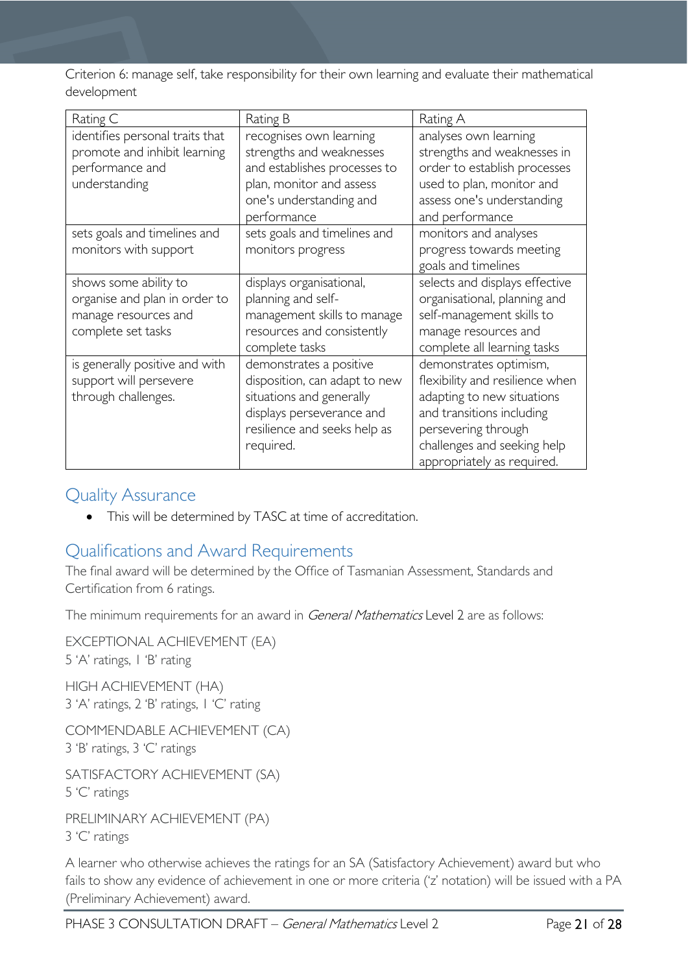Criterion 6: manage self, take responsibility for their own learning and evaluate their mathematical development

| Rating C                                                                                             | Rating B                                                                                                                                                       | Rating A                                                                                                                                                                                                 |
|------------------------------------------------------------------------------------------------------|----------------------------------------------------------------------------------------------------------------------------------------------------------------|----------------------------------------------------------------------------------------------------------------------------------------------------------------------------------------------------------|
| identifies personal traits that<br>promote and inhibit learning<br>performance and<br>understanding  | recognises own learning<br>strengths and weaknesses<br>and establishes processes to<br>plan, monitor and assess<br>one's understanding and<br>performance      | analyses own learning<br>strengths and weaknesses in<br>order to establish processes<br>used to plan, monitor and<br>assess one's understanding<br>and performance                                       |
| sets goals and timelines and<br>monitors with support                                                | sets goals and timelines and<br>monitors progress                                                                                                              | monitors and analyses<br>progress towards meeting<br>goals and timelines                                                                                                                                 |
| shows some ability to<br>organise and plan in order to<br>manage resources and<br>complete set tasks | displays organisational,<br>planning and self-<br>management skills to manage<br>resources and consistently<br>complete tasks                                  | selects and displays effective<br>organisational, planning and<br>self-management skills to<br>manage resources and<br>complete all learning tasks                                                       |
| is generally positive and with<br>support will persevere<br>through challenges.                      | demonstrates a positive<br>disposition, can adapt to new<br>situations and generally<br>displays perseverance and<br>resilience and seeks help as<br>required. | demonstrates optimism,<br>flexibility and resilience when<br>adapting to new situations<br>and transitions including<br>persevering through<br>challenges and seeking help<br>appropriately as required. |

## <span id="page-20-0"></span>Quality Assurance

• This will be determined by TASC at time of accreditation.

# <span id="page-20-1"></span>Qualifications and Award Requirements

The final award will be determined by the Office of Tasmanian Assessment, Standards and Certification from 6 ratings.

The minimum requirements for an award in General Mathematics Level 2 are as follows:

EXCEPTIONAL ACHIEVEMENT (EA) 5 'A' ratings, 1 'B' rating HIGH ACHIEVEMENT (HA) 3 'A' ratings, 2 'B' ratings, 1 'C' rating COMMENDABLE ACHIEVEMENT (CA) 3 'B' ratings, 3 'C' ratings

SATISFACTORY ACHIEVEMENT (SA) 5 'C' ratings

PRELIMINARY ACHIEVEMENT (PA) 3 'C' ratings

A learner who otherwise achieves the ratings for an SA (Satisfactory Achievement) award but who fails to show any evidence of achievement in one or more criteria ('z' notation) will be issued with a PA (Preliminary Achievement) award.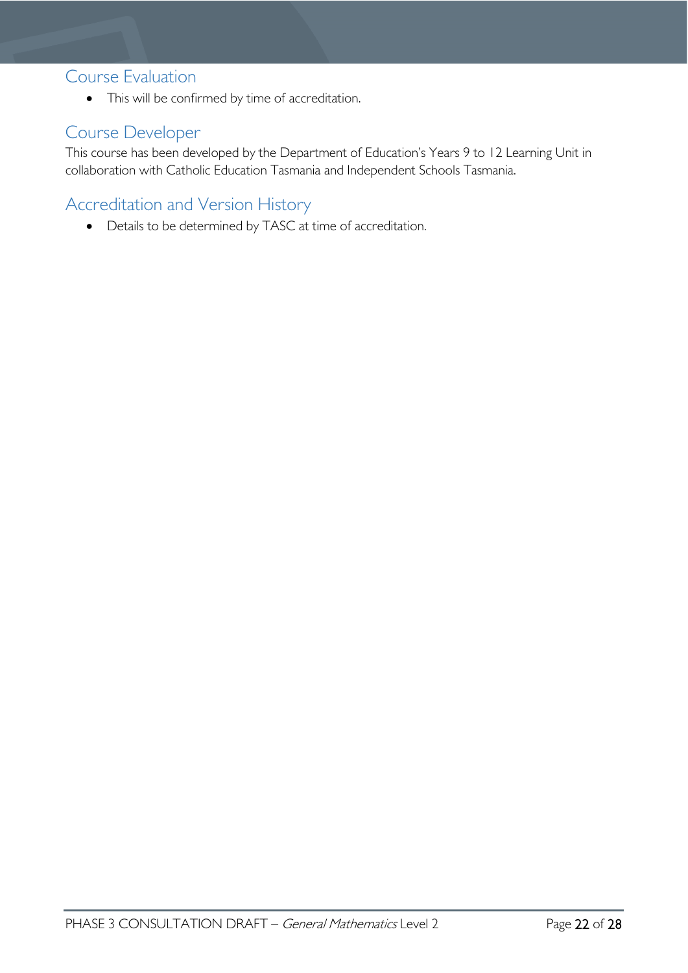### <span id="page-21-0"></span>Course Evaluation

• This will be confirmed by time of accreditation.

# <span id="page-21-1"></span>Course Developer

This course has been developed by the Department of Education's Years 9 to 12 Learning Unit in collaboration with Catholic Education Tasmania and Independent Schools Tasmania.

# <span id="page-21-2"></span>Accreditation and Version History

• Details to be determined by TASC at time of accreditation.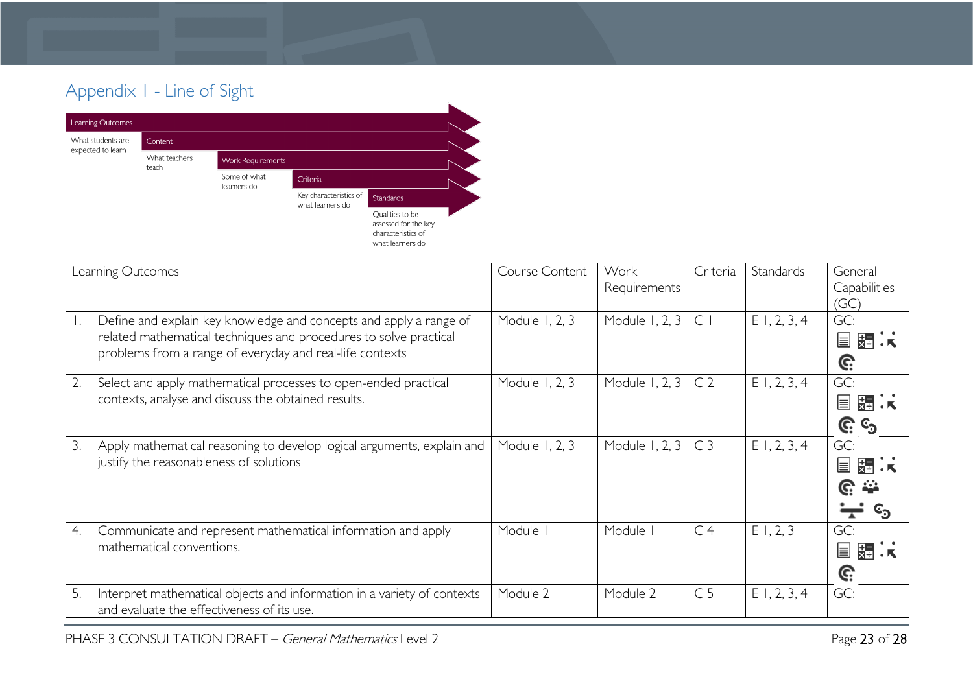# Appendix 1 - Line of Sight



<span id="page-22-0"></span>

|    | Learning Outcomes                                                                                                                                                                                   | Course Content | Work<br>Requirements | Criteria       | Standards      | General<br>Capabilities<br>(GC)  |
|----|-----------------------------------------------------------------------------------------------------------------------------------------------------------------------------------------------------|----------------|----------------------|----------------|----------------|----------------------------------|
| Ι. | Define and explain key knowledge and concepts and apply a range of<br>related mathematical techniques and procedures to solve practical<br>problems from a range of everyday and real-life contexts | Module 1, 2, 3 | Module 1, 2, 3       | $\subset$      | $E$ 1, 2, 3, 4 | GC:<br><b>目器状</b><br>G:          |
| 2. | Select and apply mathematical processes to open-ended practical<br>contexts, analyse and discuss the obtained results.                                                                              | Module 1, 2, 3 | Module 1, 2, 3       | C <sub>2</sub> | $E$ 1, 2, 3, 4 | GC:<br>冒<br>뚫리<br><u>ଙ୍ଗ</u> ତ୍ର |
| 3. | Apply mathematical reasoning to develop logical arguments, explain and<br>justify the reasonableness of solutions                                                                                   | Module 1, 2, 3 | Module 1, 2, 3       | C <sub>3</sub> | $E$ 1, 2, 3, 4 | GC:<br>$\equiv$<br>麻             |
| 4. | Communicate and represent mathematical information and apply<br>mathematical conventions.                                                                                                           | Module I       | Module               | C <sub>4</sub> | E1, 2, 3       | GC:<br><b>国 弱 关</b><br>G:        |
| 5. | Interpret mathematical objects and information in a variety of contexts<br>and evaluate the effectiveness of its use.                                                                               | Module 2       | Module 2             | C <sub>5</sub> | $E$ 1, 2, 3, 4 | GC:                              |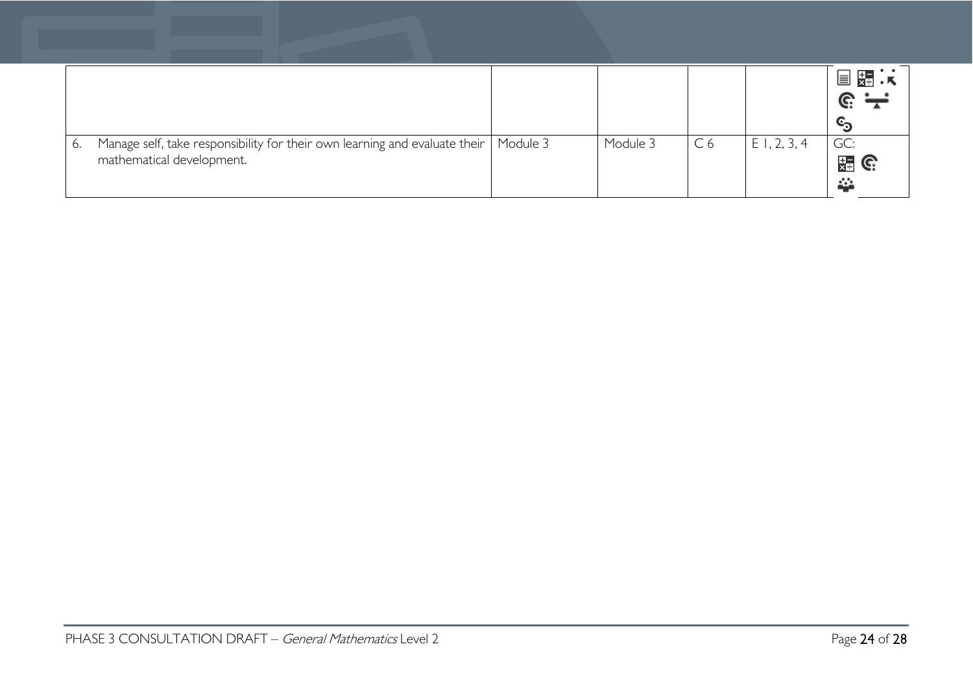|    |                                                                            |          |          |                |             | 【★】 . 人<br>$\equiv$ |
|----|----------------------------------------------------------------------------|----------|----------|----------------|-------------|---------------------|
|    |                                                                            |          |          |                |             |                     |
|    |                                                                            |          |          |                |             | $\mathbf{c},$       |
| 6. | Manage self, take responsibility for their own learning and evaluate their | Module 3 | Module 3 | C <sub>6</sub> | E1, 2, 3, 4 | GC:                 |
|    | mathematical development.                                                  |          |          |                |             | 開 G                 |
|    |                                                                            |          |          |                |             | <u>да</u>           |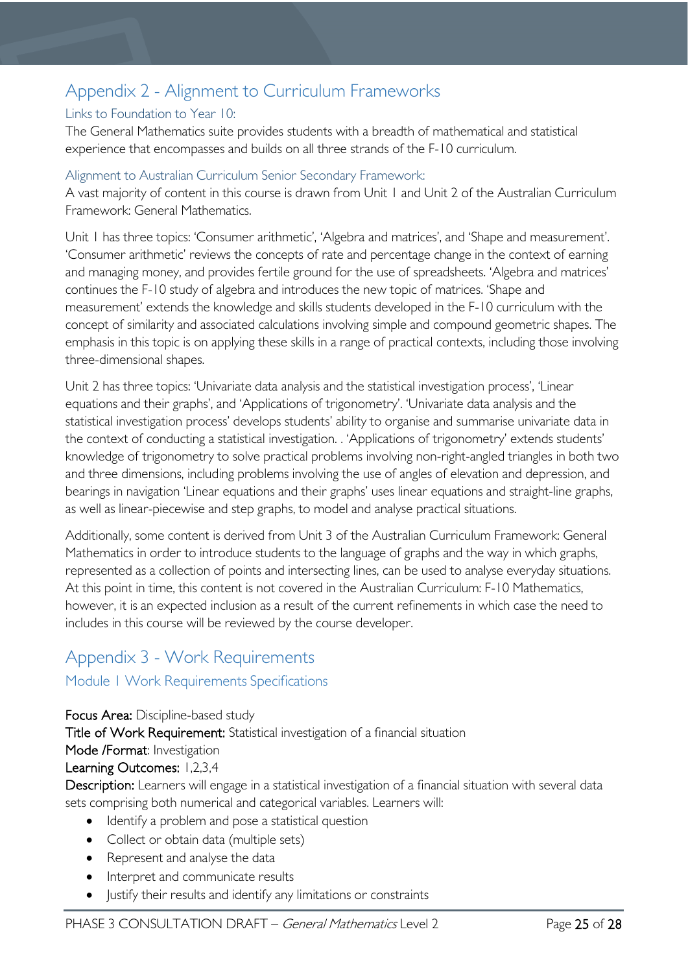# <span id="page-24-0"></span>Appendix 2 - Alignment to Curriculum Frameworks

#### <span id="page-24-1"></span>Links to Foundation to Year 10:

The General Mathematics suite provides students with a breadth of mathematical and statistical experience that encompasses and builds on all three strands of the F-10 curriculum.

#### <span id="page-24-2"></span>Alignment to Australian Curriculum Senior Secondary Framework:

A vast majority of content in this course is drawn from Unit 1 and Unit 2 of the Australian Curriculum Framework: General Mathematics.

Unit 1 has three topics: 'Consumer arithmetic', 'Algebra and matrices', and 'Shape and measurement'. 'Consumer arithmetic' reviews the concepts of rate and percentage change in the context of earning and managing money, and provides fertile ground for the use of spreadsheets. 'Algebra and matrices' continues the F-10 study of algebra and introduces the new topic of matrices. 'Shape and measurement' extends the knowledge and skills students developed in the F-10 curriculum with the concept of similarity and associated calculations involving simple and compound geometric shapes. The emphasis in this topic is on applying these skills in a range of practical contexts, including those involving three-dimensional shapes.

Unit 2 has three topics: 'Univariate data analysis and the statistical investigation process', 'Linear equations and their graphs', and 'Applications of trigonometry'. 'Univariate data analysis and the statistical investigation process' develops students' ability to organise and summarise univariate data in the context of conducting a statistical investigation. . 'Applications of trigonometry' extends students' knowledge of trigonometry to solve practical problems involving non-right-angled triangles in both two and three dimensions, including problems involving the use of angles of elevation and depression, and bearings in navigation 'Linear equations and their graphs' uses linear equations and straight-line graphs, as well as linear-piecewise and step graphs, to model and analyse practical situations.

Additionally, some content is derived from Unit 3 of the Australian Curriculum Framework: General Mathematics in order to introduce students to the language of graphs and the way in which graphs, represented as a collection of points and intersecting lines, can be used to analyse everyday situations. At this point in time, this content is not covered in the Australian Curriculum: F-10 Mathematics, however, it is an expected inclusion as a result of the current refinements in which case the need to includes in this course will be reviewed by the course developer.

# <span id="page-24-3"></span>Appendix 3 - Work Requirements

### <span id="page-24-4"></span>Module 1 Work Requirements Specifications

Focus Area: Discipline-based study Title of Work Requirement: Statistical investigation of a financial situation Mode /Format: Investigation Learning Outcomes: 1,2,3,4 Description: Learners will engage in a statistical investigation of a financial situation with several data sets comprising both numerical and categorical variables. Learners will: • Identify a problem and pose a statistical question

- Collect or obtain data (multiple sets)
- Represent and analyse the data
- Interpret and communicate results
- Justify their results and identify any limitations or constraints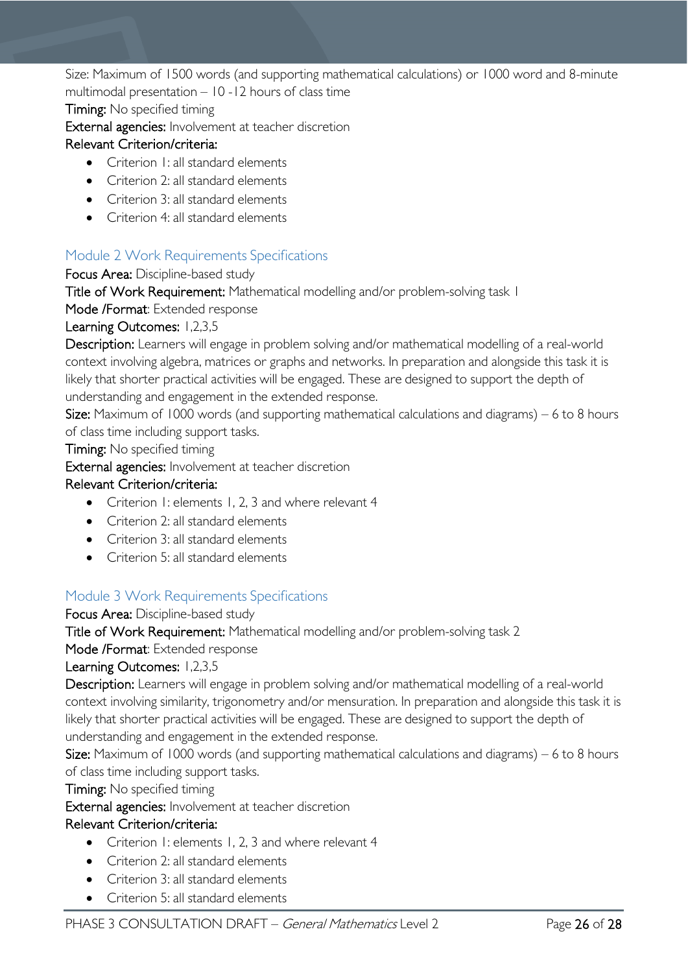Size: Maximum of 1500 words (and supporting mathematical calculations) or 1000 word and 8-minute multimodal presentation – 10 -12 hours of class time

Timing: No specified timing

External agencies: Involvement at teacher discretion

#### Relevant Criterion/criteria:

- Criterion 1: all standard elements
- Criterion 2: all standard elements
- Criterion 3: all standard elements
- Criterion 4: all standard elements

### <span id="page-25-0"></span>Module 2 Work Requirements Specifications

Focus Area: Discipline-based study

Title of Work Requirement: Mathematical modelling and/or problem-solving task 1

Mode /Format: Extended response

Learning Outcomes: 1,2,3,5

Description: Learners will engage in problem solving and/or mathematical modelling of a real-world context involving algebra, matrices or graphs and networks. In preparation and alongside this task it is likely that shorter practical activities will be engaged. These are designed to support the depth of understanding and engagement in the extended response.

Size: Maximum of 1000 words (and supporting mathematical calculations and diagrams) – 6 to 8 hours of class time including support tasks.

Timing: No specified timing

External agencies: Involvement at teacher discretion

#### Relevant Criterion/criteria:

- Criterion 1: elements 1, 2, 3 and where relevant 4
- Criterion 2: all standard elements
- Criterion 3: all standard elements
- Criterion 5: all standard elements

### <span id="page-25-1"></span>Module 3 Work Requirements Specifications

Focus Area: Discipline-based study

Title of Work Requirement: Mathematical modelling and/or problem-solving task 2

Mode /Format: Extended response

#### Learning Outcomes: 1,2,3,5

Description: Learners will engage in problem solving and/or mathematical modelling of a real-world context involving similarity, trigonometry and/or mensuration. In preparation and alongside this task it is likely that shorter practical activities will be engaged. These are designed to support the depth of understanding and engagement in the extended response.

Size: Maximum of 1000 words (and supporting mathematical calculations and diagrams) – 6 to 8 hours of class time including support tasks.

Timing: No specified timing

External agencies: Involvement at teacher discretion

#### Relevant Criterion/criteria:

- Criterion 1: elements 1, 2, 3 and where relevant 4
- Criterion 2: all standard elements
- Criterion 3: all standard elements
- Criterion 5: all standard elements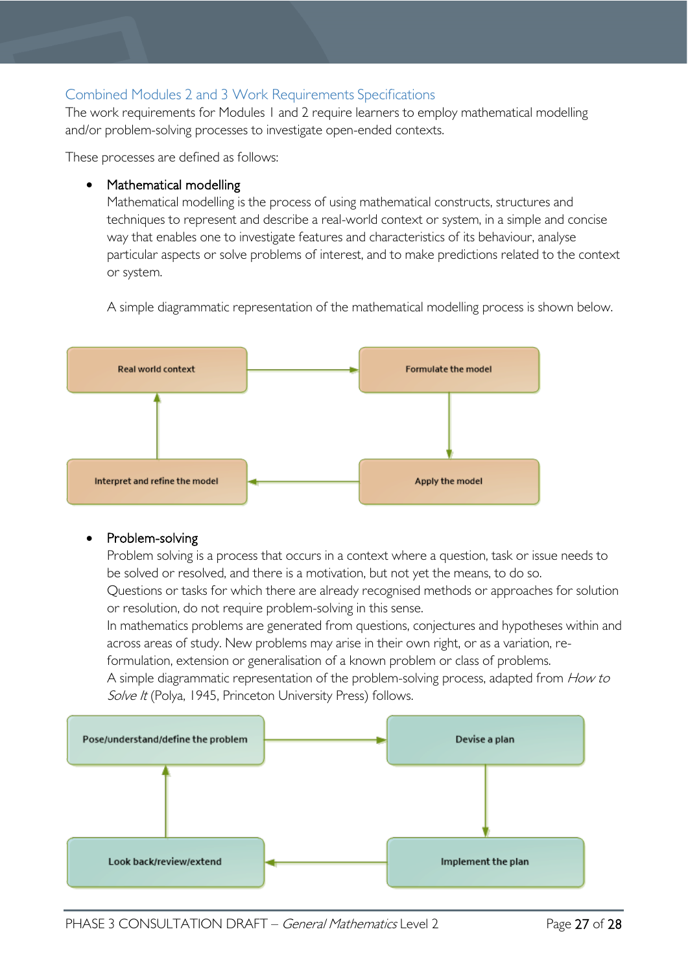### <span id="page-26-0"></span>Combined Modules 2 and 3 Work Requirements Specifications

The work requirements for Modules 1 and 2 require learners to employ mathematical modelling and/or problem-solving processes to investigate open-ended contexts.

These processes are defined as follows:

#### Mathematical modelling

Mathematical modelling is the process of using mathematical constructs, structures and techniques to represent and describe a real-world context or system, in a simple and concise way that enables one to investigate features and characteristics of its behaviour, analyse particular aspects or solve problems of interest, and to make predictions related to the context or system.

A simple diagrammatic representation of the mathematical modelling process is shown below.



#### • Problem-solving

Problem solving is a process that occurs in a context where a question, task or issue needs to be solved or resolved, and there is a motivation, but not yet the means, to do so.

Questions or tasks for which there are already recognised methods or approaches for solution or resolution, do not require problem-solving in this sense.

In mathematics problems are generated from questions, conjectures and hypotheses within and across areas of study. New problems may arise in their own right, or as a variation, re-

formulation, extension or generalisation of a known problem or class of problems.

A simple diagrammatic representation of the problem-solving process, adapted from How to Solve It (Polya, 1945, Princeton University Press) follows.